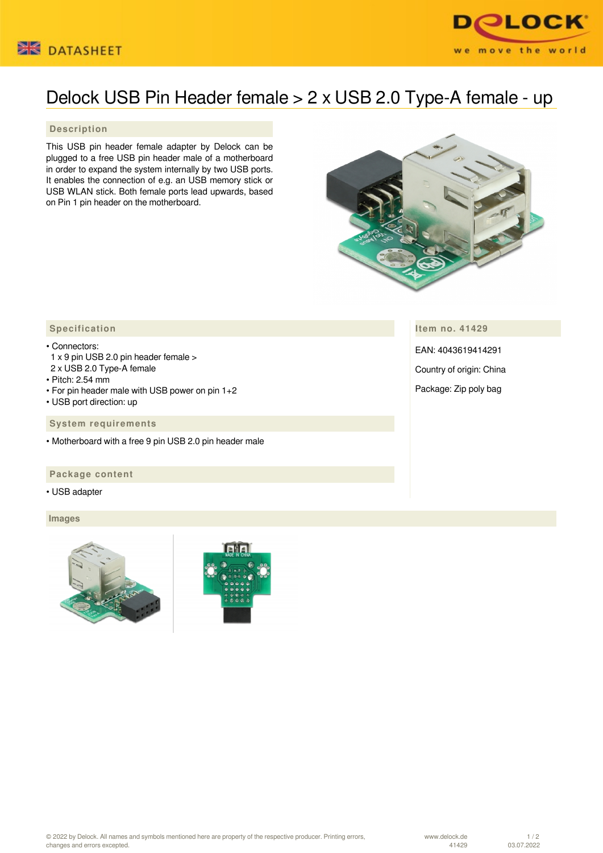



# Delock USB Pin Header female > 2 x USB 2.0 Type-A female - up

## **Description**

This USB pin header female adapter by Delock can be plugged to a free USB pin header male of a motherboard in order to expand the system internally by two USB ports. It enables the connection of e.g. an USB memory stick or USB WLAN stick. Both female ports lead upwards, based on Pin 1 pin header on the motherboard.



**Item no. 41429**

EAN: 4043619414291

Country of origin: China

Package: Zip poly bag

## **Specification**

- Connectors:
- 1 x 9 pin USB 2.0 pin header female >
- 2 x USB 2.0 Type-A female
- Pitch: 2.54 mm
- For pin header male with USB power on pin 1+2
- USB port direction: up

 **System requirements**

• Motherboard with a free 9 pin USB 2.0 pin header male

### **Package content**

• USB adapter

### **Images**